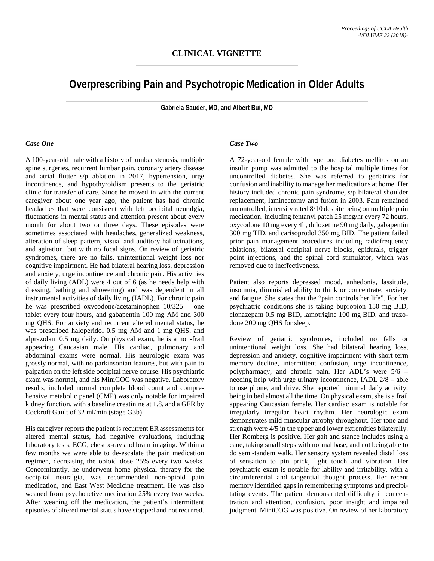# **Overprescribing Pain and Psychotropic Medication in Older Adults**

**Gabriela Sauder, MD, and Albert Bui, MD**

#### *Case One*

A 100-year-old male with a history of lumbar stenosis, multiple spine surgeries, recurrent lumbar pain, coronary artery disease and atrial flutter s/p ablation in 2017, hypertension, urge incontinence, and hypothyroidism presents to the geriatric clinic for transfer of care. Since he moved in with the current caregiver about one year ago, the patient has had chronic headaches that were consistent with left occipital neuralgia, fluctuations in mental status and attention present about every month for about two or three days. These episodes were sometimes associated with headaches, generalized weakness, alteration of sleep pattern, visual and auditory hallucinations, and agitation, but with no focal signs. On review of geriatric syndromes, there are no falls, unintentional weight loss nor cognitive impairment. He had bilateral hearing loss, depression and anxiety, urge incontinence and chronic pain. His activities of daily living (ADL) were 4 out of 6 (as he needs help with dressing, bathing and showering) and was dependent in all instrumental activities of daily living (IADL). For chronic pain he was prescribed oxycodone/acetaminophen 10/325 – one tablet every four hours, and gabapentin 100 mg AM and 300 mg QHS. For anxiety and recurrent altered mental status, he was prescribed haloperidol 0.5 mg AM and 1 mg QHS, and alprazolam 0.5 mg daily. On physical exam, he is a non-frail appearing Caucasian male. His cardiac, pulmonary and abdominal exams were normal. His neurologic exam was grossly normal, with no parkinsonian features, but with pain to palpation on the left side occipital nerve course. His psychiatric exam was normal, and his MiniCOG was negative. Laboratory results, included normal complete blood count and comprehensive metabolic panel (CMP) was only notable for impaired kidney function, with a baseline creatinine at 1.8, and a GFR by Cockroft Gault of 32 ml/min (stage G3b).

His caregiver reports the patient is recurrent ER assessments for altered mental status, had negative evaluations, including laboratory tests, ECG, chest x-ray and brain imaging. Within a few months we were able to de-escalate the pain medication regimen, decreasing the opioid dose 25% every two weeks. Concomitantly, he underwent home physical therapy for the occipital neuralgia, was recommended non-opioid pain medication, and East West Medicine treatment. He was also weaned from psychoactive medication 25% every two weeks. After weaning off the medication, the patient's intermittent episodes of altered mental status have stopped and not recurred.

#### *Case Two*

A 72-year-old female with type one diabetes mellitus on an insulin pump was admitted to the hospital multiple times for uncontrolled diabetes. She was referred to geriatrics for confusion and inability to manage her medications at home. Her history included chronic pain syndrome, s/p bilateral shoulder replacement, laminectomy and fusion in 2003. Pain remained uncontrolled, intensity rated 8/10 despite being on multiple pain medication, including fentanyl patch 25 mcg/hr every 72 hours, oxycodone 10 mg every 4h, duloxetine 90 mg daily, gabapentin 300 mg TID, and carisoprodol 350 mg BID. The patient failed prior pain management procedures including radiofrequency ablations, bilateral occipital nerve blocks, epidurals, trigger point injections, and the spinal cord stimulator, which was removed due to ineffectiveness.

Patient also reports depressed mood, anhedonia, lassitude, insomnia, diminished ability to think or concentrate, anxiety, and fatigue. She states that the "pain controls her life". For her psychiatric conditions she is taking bupropion 150 mg BID, clonazepam 0.5 mg BID, lamotrigine 100 mg BID, and trazodone 200 mg QHS for sleep.

Review of geriatric syndromes, included no falls or unintentional weight loss. She had bilateral hearing loss, depression and anxiety, cognitive impairment with short term memory decline, intermittent confusion, urge incontinence, polypharmacy, and chronic pain. Her ADL's were 5/6 – needing help with urge urinary incontinence, IADL 2/8 – able to use phone, and drive. She reported minimal daily activity, being in bed almost all the time. On physical exam, she is a frail appearing Caucasian female. Her cardiac exam is notable for irregularly irregular heart rhythm. Her neurologic exam demonstrates mild muscular atrophy throughout. Her tone and strength were 4/5 in the upper and lower extremities bilaterally. Her Romberg is positive. Her gait and stance includes using a cane, taking small steps with normal base, and not being able to do semi-tandem walk. Her sensory system revealed distal loss of sensation to pin prick, light touch and vibration. Her psychiatric exam is notable for lability and irritability, with a circumferential and tangential thought process. Her recent memory identified gaps in remembering symptoms and precipitating events. The patient demonstrated difficulty in concentration and attention, confusion, poor insight and impaired judgment. MiniCOG was positive. On review of her laboratory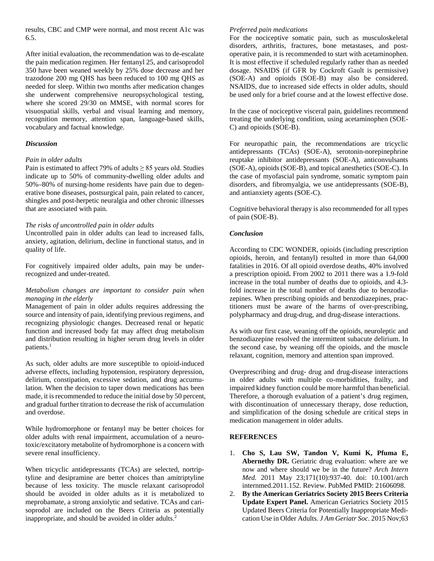results, CBC and CMP were normal, and most recent A1c was 6.5.

After initial evaluation, the recommendation was to de-escalate the pain medication regimen. Her fentanyl 25, and carisoprodol 350 have been weaned weekly by 25% dose decrease and her trazodone 200 mg QHS has been reduced to 100 mg QHS as needed for sleep. Within two months after medication changes she underwent comprehensive neuropsychological testing, where she scored 29/30 on MMSE, with normal scores for visuospatial skills, verbal and visual learning and memory, recognition memory, attention span, language-based skills, vocabulary and factual knowledge.

## *Discussion*

#### *Pain in older adults*

Pain is estimated to affect 79% of adults  $\geq$  85 years old. Studies indicate up to 50% of community-dwelling older adults and 50%–80% of nursing-home residents have pain due to degenerative bone diseases, postsurgical pain, pain related to cancer, shingles and post-herpetic neuralgia and other chronic illnesses that are associated with pain.

## *The risks of uncontrolled pain in older adults*

Uncontrolled pain in older adults can lead to increased falls, anxiety, agitation, delirium, decline in functional status, and in quality of life.

For cognitively impaired older adults, pain may be underrecognized and under-treated.

## *Metabolism changes are important to consider pain when managing in the elderly*

Management of pain in older adults requires addressing the source and intensity of pain, identifying previous regimens, and recognizing physiologic changes. Decreased renal or hepatic function and increased body fat may affect drug metabolism and distribution resulting in higher serum drug levels in older patients.<sup>1</sup>

As such, older adults are more susceptible to opioid-induced adverse effects, including hypotension, respiratory depression, delirium, constipation, excessive sedation, and drug accumulation. When the decision to taper down medications has been made, it is recommended to reduce the initial dose by 50 percent, and gradual further titration to decrease the risk of accumulation and overdose.

While hydromorphone or fentanyl may be better choices for older adults with renal impairment, accumulation of a neurotoxic/excitatory metabolite of hydromorphone is a concern with severe renal insufficiency.

When tricyclic antidepressants (TCAs) are selected, nortriptyline and desipramine are better choices than amitriptyline because of less toxicity. The muscle relaxant carisoprodol should be avoided in older adults as it is metabolized to meprobamate, a strong anxiolytic and sedative. TCAs and carisoprodol are included on the Beers Criteria as potentially inappropriate, and should be avoided in older adults. 2

## *Preferred pain medications*

For the nociceptive somatic pain, such as musculoskeletal disorders, arthritis, fractures, bone metastases, and postoperative pain, it is recommended to start with acetaminophen. It is most effective if scheduled regularly rather than as needed dosage. NSAIDS (if GFR by Cockroft Gault is permissive) (SOE-A) and opioids (SOE-B) may also be considered. NSAIDS, due to increased side effects in older adults, should be used only for a brief course and at the lowest effective dose.

In the case of nociceptive visceral pain, guidelines recommend treating the underlying condition, using acetaminophen (SOE-C) and opioids (SOE-B).

For neuropathic pain, the recommendations are tricyclic antidepressants (TCAs) (SOE-A), serotonin-norepinephrine reuptake inhibitor antidepressants (SOE-A), anticonvulsants (SOE-A), opioids (SOE-B), and topical anesthetics (SOE-C). In the case of myofascial pain syndrome, somatic symptom pain disorders, and fibromyalgia, we use antidepressants (SOE-B), and antianxiety agents (SOE-C).

Cognitive behavioral therapy is also recommended for all types of pain (SOE-B).

## *Conclusion*

According to CDC WONDER, opioids (including prescription opioids, heroin, and fentanyl) resulted in more than 64,000 fatalities in 2016. Of all opioid overdose deaths, 40% involved a prescription opioid**.** From 2002 to 2011 there was a 1.9-fold increase in the total number of deaths due to opioids, and 4.3 fold increase in the total number of deaths due to benzodiazepines. When prescribing opioids and benzodiazepines, practitioners must be aware of the harms of over-prescribing, polypharmacy and drug-drug, and drug-disease interactions.

As with our first case, weaning off the opioids, neuroleptic and benzodiazepine resolved the intermittent subacute delirium. In the second case, by weaning off the opioids, and the muscle relaxant, cognition, memory and attention span improved.

Overprescribing and drug- drug and drug-disease interactions in older adults with multiple co-morbidities, frailty, and impaired kidney function could be more harmful than beneficial. Therefore, a thorough evaluation of a patient's drug regimen, with discontinuation of unnecessary therapy, dose reduction, and simplification of the dosing schedule are critical steps in medication management in older adults.

## **REFERENCES**

- 1. **Cho S, Lau SW, Tandon V, Kumi K, Pfuma E, Abernethy DR.** Geriatric drug evaluation: where are we now and where should we be in the future? *Arch Intern Med.* 2011 May 23;171(10):937-40. doi: 10.1001/arch internmed.2011.152. Review. PubMed PMID: 21606098.
- 2. **By the American Geriatrics Society 2015 Beers Criteria Update Expert Panel.** American Geriatrics Society 2015 Updated Beers Criteria for Potentially Inappropriate Medication Use in Older Adults*. J Am Geriatr Soc.* 2015 Nov;63